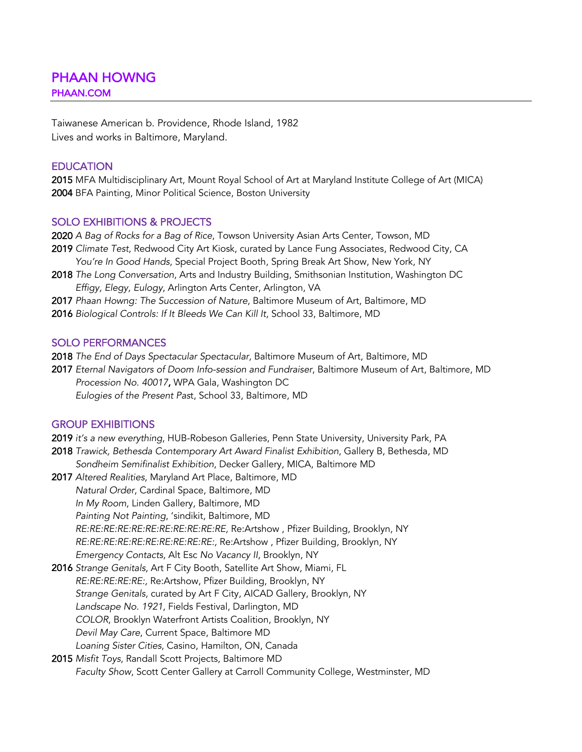Taiwanese American b. Providence, Rhode Island, 1982 Lives and works in Baltimore, Maryland.

### **EDUCATION**

2015 MFA Multidisciplinary Art, Mount Royal School of Art at Maryland Institute College of Art (MICA) 2004 BFA Painting, Minor Political Science, Boston University

#### SOLO EXHIBITIONS & PROJECTS

2020 *A Bag of Rocks for a Bag of Rice*, Towson University Asian Arts Center, Towson, MD

- 2019 *Climate Test*, Redwood City Art Kiosk, curated by Lance Fung Associates, Redwood City, CA *You're In Good Hands*, Special Project Booth, Spring Break Art Show, New York, NY
- 2018 *The Long Conversation*, Arts and Industry Building, Smithsonian Institution, Washington DC  *Effigy, Elegy, Eulogy*, Arlington Arts Center, Arlington, VA
- 2017 *Phaan Howng: The Succession of Nature*, Baltimore Museum of Art, Baltimore, MD
- 2016 *Biological Controls: If It Bleeds We Can Kill It,* School 33, Baltimore, MD

#### SOLO PERFORMANCES

2018 *The End of Days Spectacular Spectacular*, Baltimore Museum of Art, Baltimore, MD

2017 *Eternal Navigators of Doom Info-session and Fundraiser*, Baltimore Museum of Art, Baltimore, MD *Procession No. 40017*, WPA Gala, Washington DC *Eulogies of the Present Pas*t, School 33, Baltimore, MD

## GROUP EXHIBITIONS

- 2019 *it's a new everything*, HUB-Robeson Galleries, Penn State University, University Park, PA
- 2018 *Trawick, Bethesda Contemporary Art Award Finalist Exhibition*, Gallery B, Bethesda, MD
- *Sondheim Semifinalist Exhibition*, Decker Gallery, MICA, Baltimore MD
- 2017 *Altered Realities*, Maryland Art Place, Baltimore, MD *Natural Order*, Cardinal Space, Baltimore, MD *In My Room*, Linden Gallery, Baltimore, MD *Painting Not Painting*, 'sindikit, Baltimore, MD  *RE:RE:RE:RE:RE:RE:RE:RE:RE:RE:RE,* Re:Artshow , Pfizer Building, Brooklyn, NY  *RE:RE:RE:RE:RE:RE:RE:RE:RE:RE:,* Re:Artshow , Pfizer Building, Brooklyn, NY  *Emergency Contacts*, Alt Esc *No Vacancy II*, Brooklyn, NY
- 2016 *Strange Genitals*, Art F City Booth, Satellite Art Show, Miami, FL *RE:RE:RE:RE:RE:,* Re:Artshow, Pfizer Building, Brooklyn, NY  *Strange Genitals,* curated by Art F City, AICAD Gallery, Brooklyn, NY  *Landscape No. 1921*, Fields Festival, Darlington, MD *COLOR*, Brooklyn Waterfront Artists Coalition, Brooklyn, NY  *Devil May Care*, Current Space, Baltimore MD *Loaning Sister Cities*, Casino, Hamilton, ON, Canada
- 2015 *Misfit Toys*, Randall Scott Projects, Baltimore MD *Faculty Show*, Scott Center Gallery at Carroll Community College, Westminster, MD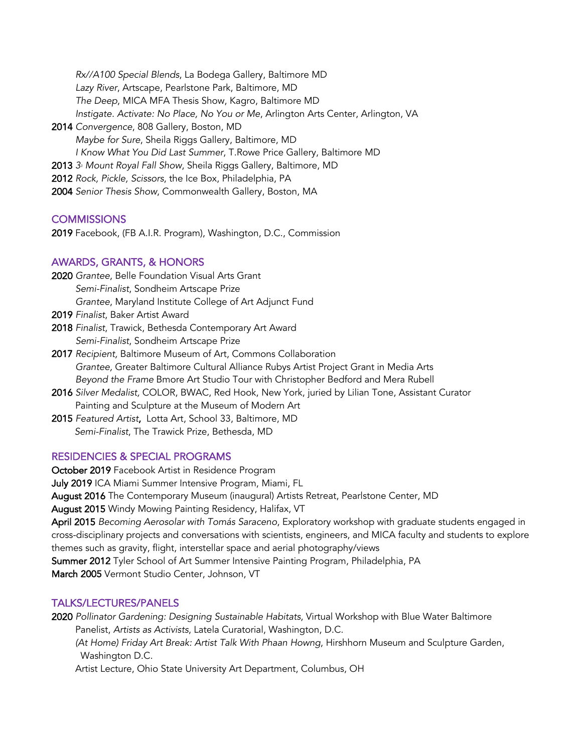*Rx//A100 Special Blends*, La Bodega Gallery, Baltimore MD *Lazy River*, Artscape, Pearlstone Park, Baltimore, MD *The Deep*, MICA MFA Thesis Show, Kagro, Baltimore MD *Instigate. Activate: No Place, No You or Me*, Arlington Arts Center, Arlington, VA 2014 *Convergence*, 808 Gallery, Boston, MD *Maybe for Sure*, Sheila Riggs Gallery, Baltimore, MD *I Know What You Did Last Summer*, T.Rowe Price Gallery, Baltimore MD 2013 *33 Mount Royal Fall Show*, Sheila Riggs Gallery, Baltimore, MD 2012 *Rock, Pickle, Scissors*, the Ice Box, Philadelphia, PA 2004 *Senior Thesis Show*, Commonwealth Gallery, Boston, MA

# **COMMISSIONS**

2019 Facebook, (FB A.I.R. Program), Washington, D.C., Commission

## AWARDS, GRANTS, & HONORS

- 2020 *Grantee*, Belle Foundation Visual Arts Grant *Semi-Finalist*, Sondheim Artscape Prize *Grantee*, Maryland Institute College of Art Adjunct Fund
- 2019 *Finalist*, Baker Artist Award
- 2018 *Finalist*, Trawick, Bethesda Contemporary Art Award *Semi-Finalist*, Sondheim Artscape Prize
- 2017 *Recipient,* Baltimore Museum of Art, Commons Collaboration  *Grantee,* Greater Baltimore Cultural Alliance Rubys Artist Project Grant in Media Arts *Beyond the Frame* Bmore Art Studio Tour with Christopher Bedford and Mera Rubell
- 2016 *Silver Medalist,* COLOR, BWAC, Red Hook, New York, juried by Lilian Tone, Assistant Curator Painting and Sculpture at the Museum of Modern Art
- 2015 *Featured Artist*, Lotta Art, School 33, Baltimore, MD *Semi-Finalist*, The Trawick Prize, Bethesda, MD

#### RESIDENCIES & SPECIAL PROGRAMS

October 2019 Facebook Artist in Residence Program July 2019 ICA Miami Summer Intensive Program, Miami, FL August 2016 The Contemporary Museum (inaugural) Artists Retreat, Pearlstone Center, MD August 2015 Windy Mowing Painting Residency, Halifax, VT April 2015 *Becoming Aerosolar with Tomás Saraceno*, Exploratory workshop with graduate students engaged in cross-disciplinary projects and conversations with scientists, engineers, and MICA faculty and students to explore themes such as gravity, flight, interstellar space and aerial photography/views Summer 2012 Tyler School of Art Summer Intensive Painting Program, Philadelphia, PA March 2005 Vermont Studio Center, Johnson, VT

#### TALKS/LECTURES/PANELS

2020 *Pollinator Gardening: Designing Sustainable Habitats*, Virtual Workshop with Blue Water Baltimore Panelist, *Artists as Activists*, Latela Curatorial, Washington, D.C.  *(At Home) Friday Art Break: Artist Talk With Phaan Howng*, Hirshhorn Museum and Sculpture Garden, Washington D.C.

Artist Lecture, Ohio State University Art Department, Columbus, OH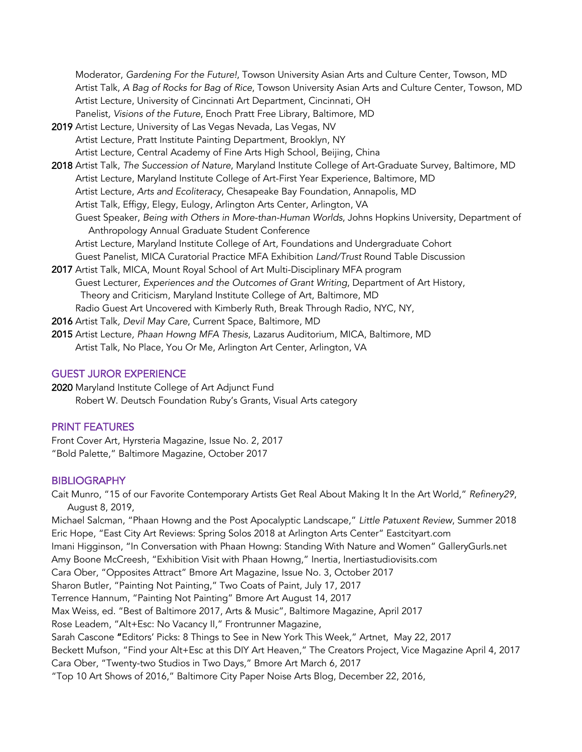Moderator, *Gardening For the Future!*, Towson University Asian Arts and Culture Center, Towson, MD Artist Talk, *A Bag of Rocks for Bag of Rice*, Towson University Asian Arts and Culture Center, Towson, MD Artist Lecture, University of Cincinnati Art Department, Cincinnati, OH Panelist*, Visions of the Future*, Enoch Pratt Free Library, Baltimore, MD

- 2019 Artist Lecture*,* University of Las Vegas Nevada, Las Vegas, NV Artist Lecture*,* Pratt Institute Painting Department, Brooklyn, NY Artist Lecture*,* Central Academy of Fine Arts High School, Beijing, China
- 2018 Artist Talk, *The Succession of Nature*, Maryland Institute College of Art-Graduate Survey, Baltimore, MD Artist Lecture, Maryland Institute College of Art-First Year Experience, Baltimore, MD Artist Lecture, *Arts and Ecoliteracy*, Chesapeake Bay Foundation, Annapolis, MD Artist Talk, Effigy, Elegy, Eulogy, Arlington Arts Center, Arlington, VA Guest Speaker, *Being with Others in More-than-Human Worlds*, Johns Hopkins University, Department of Anthropology Annual Graduate Student Conference Artist Lecture*,* Maryland Institute College of Art, Foundations and Undergraduate Cohort Guest Panelist*,* MICA Curatorial Practice MFA Exhibition *Land/Trust* Round Table Discussion
- 2017 Artist Talk, MICA, Mount Royal School of Art Multi-Disciplinary MFA program Guest Lecturer*, Experiences and the Outcomes of Grant Writing*, Department of Art History, Theory and Criticism, Maryland Institute College of Art, Baltimore, MD Radio Guest Art Uncovered with Kimberly Ruth, Break Through Radio, NYC, NY,

2016 Artist Talk*, Devil May Care*, Current Space, Baltimore, MD

2015 Artist Lecture*, Phaan Howng MFA Thesis*, Lazarus Auditorium, MICA, Baltimore, MD Artist Talk*,* No Place, You Or Me, Arlington Art Center, Arlington, VA

## GUEST JUROR EXPERIENCE

2020 Maryland Institute College of Art Adjunct Fund Robert W. Deutsch Foundation Ruby's Grants, Visual Arts category

## PRINT FEATURES

Front Cover Art, Hyrsteria Magazine, Issue No. 2, 2017 "Bold Palette," Baltimore Magazine, October 2017

# BIBLIOGRAPHY

Cait Munro, "15 of our Favorite Contemporary Artists Get Real About Making It In the Art World," *Refinery29*, August 8, 2019, Michael Salcman, "Phaan Howng and the Post Apocalyptic Landscape," *Little Patuxent Review*, Summer 2018 Eric Hope, "East City Art Reviews: Spring Solos 2018 at Arlington Arts Center" Eastcityart.com Imani Higginson, "In Conversation with Phaan Howng: Standing With Nature and Women" GalleryGurls.net Amy Boone McCreesh, "Exhibition Visit with Phaan Howng," Inertia, Inertiastudiovisits.com Cara Ober, "Opposites Attract" Bmore Art Magazine, Issue No. 3, October 2017 Sharon Butler, "Painting Not Painting," Two Coats of Paint, July 17, 2017 Terrence Hannum, "Painting Not Painting" Bmore Art August 14, 2017 Max Weiss, ed. "Best of Baltimore 2017, Arts & Music", Baltimore Magazine, April 2017 Rose Leadem, "Alt+Esc: No Vacancy II," Frontrunner Magazine, Sarah Cascone "Editors' Picks: 8 Things to See in New York This Week," Artnet, May 22, 2017 Beckett Mufson, "Find your Alt+Esc at this DIY Art Heaven," The Creators Project, Vice Magazine April 4, 2017 Cara Ober, "Twenty-two Studios in Two Days*,*" Bmore Art March 6, 2017 "Top 10 Art Shows of 2016," Baltimore City Paper Noise Arts Blog, December 22, 2016,